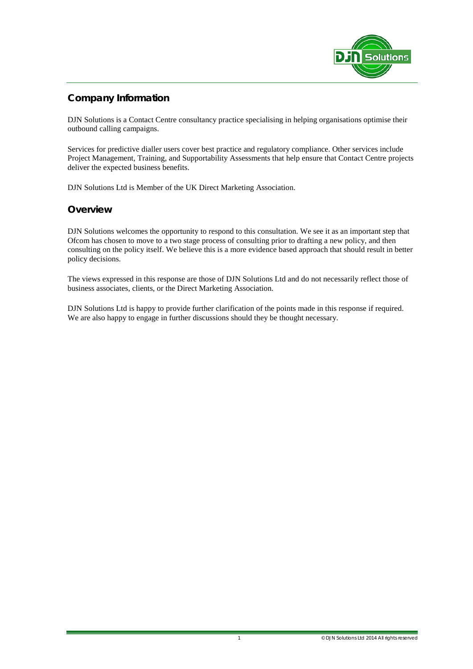

# **Company Information**

DJN Solutions is a Contact Centre consultancy practice specialising in helping organisations optimise their outbound calling campaigns.

Services for predictive dialler users cover best practice and regulatory compliance. Other services include Project Management, Training, and Supportability Assessments that help ensure that Contact Centre projects deliver the expected business benefits.

DJN Solutions Ltd is Member of the UK Direct Marketing Association.

## **Overview**

DJN Solutions welcomes the opportunity to respond to this consultation. We see it as an important step that Ofcom has chosen to move to a two stage process of consulting prior to drafting a new policy, and then consulting on the policy itself. We believe this is a more evidence based approach that should result in better policy decisions.

The views expressed in this response are those of DJN Solutions Ltd and do not necessarily reflect those of business associates, clients, or the Direct Marketing Association.

DJN Solutions Ltd is happy to provide further clarification of the points made in this response if required. We are also happy to engage in further discussions should they be thought necessary.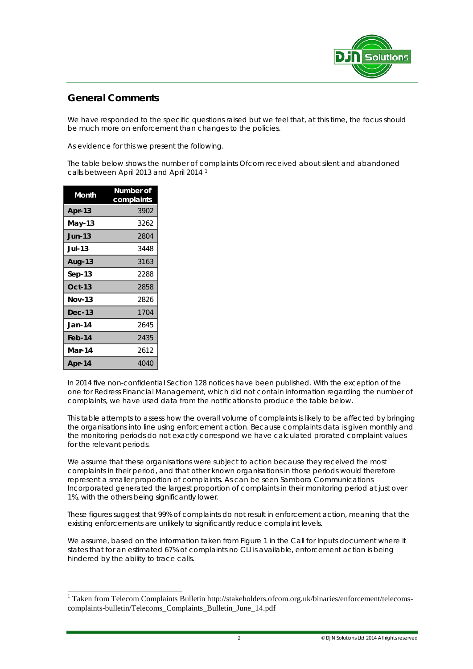

# **General Comments**

We have responded to the specific questions raised but we feel that, at this time, the focus should be much more on enforcement than changes to the policies.

As evidence for this we present the following.

The table below shows the number of complaints Ofcom received about silent and abandoned calls between April 2013 and April 2014 [1](#page-1-0)

| Month         | Number of<br>complaints |  |  |
|---------------|-------------------------|--|--|
| Apr-13        | 3902                    |  |  |
| May-13        | 3262                    |  |  |
| <b>Jun-13</b> | 2804                    |  |  |
| <b>Jul-13</b> | 3448                    |  |  |
| <b>Aug-13</b> | 3163                    |  |  |
| Sep-13        | 2288                    |  |  |
| $Oct-13$      | 2858                    |  |  |
| <b>Nov-13</b> | 2826                    |  |  |
| $Dec-13$      | 1704                    |  |  |
| Jan-14        | 2645                    |  |  |
| Feb-14        | 2435                    |  |  |
| Mar-14        | 2612                    |  |  |
| Apr-14        | 4040                    |  |  |

-

In 2014 five non-confidential Section 128 notices have been published. With the exception of the one for Redress Financial Management, which did not contain information regarding the number of complaints, we have used data from the notifications to produce the table below.

This table attempts to assess how the overall volume of complaints is likely to be affected by bringing the organisations into line using enforcement action. Because complaints data is given monthly and the monitoring periods do not exactly correspond we have calculated prorated complaint values for the relevant periods.

We assume that these organisations were subject to action because they received the most complaints in their period, and that other known organisations in those periods would therefore represent a smaller proportion of complaints. As can be seen Sambora Communications Incorporated generated the largest proportion of complaints in their monitoring period at just over 1%, with the others being significantly lower.

These figures suggest that 99% of complaints do not result in enforcement action, meaning that the existing enforcements are unlikely to significantly reduce complaint levels.

We assume, based on the information taken from Figure 1 in the Call for Inputs document where it states that for an estimated 67% of complaints no CLI is available, enforcement action is being hindered by the ability to trace calls.

<span id="page-1-0"></span><sup>&</sup>lt;sup>1</sup> Taken from Telecom Complaints Bulletin http://stakeholders.ofcom.org.uk/binaries/enforcement/telecomscomplaints-bulletin/Telecoms\_Complaints\_Bulletin\_June\_14.pdf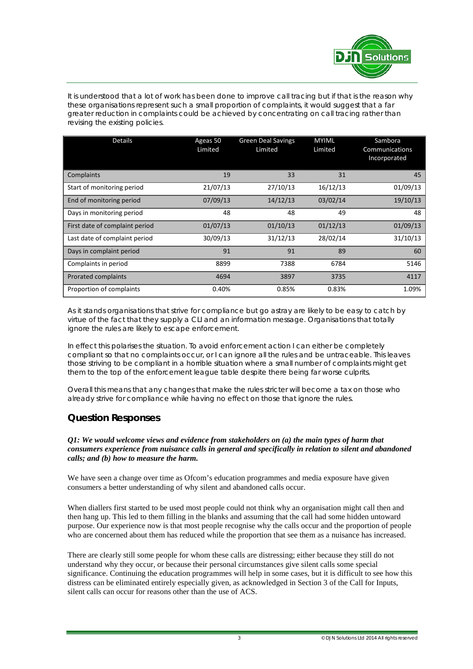

It is understood that a lot of work has been done to improve call tracing but if that is the reason why these organisations represent such a small proportion of complaints, it would suggest that a far greater reduction in complaints could be achieved by concentrating on call tracing rather than revising the existing policies.

| <b>Details</b>                 | Ageas 50<br>Limited | <b>Green Deal Savings</b><br>Limited | <b>MYIML</b><br>Limited | Sambora<br>Communications<br>Incorporated |
|--------------------------------|---------------------|--------------------------------------|-------------------------|-------------------------------------------|
| Complaints                     | 19                  | 33                                   | 31                      | 45                                        |
| Start of monitoring period     | 21/07/13            | 27/10/13                             | 16/12/13                | 01/09/13                                  |
| End of monitoring period       | 07/09/13            | 14/12/13                             | 03/02/14                | 19/10/13                                  |
| Days in monitoring period      | 48                  | 48                                   | 49                      | 48                                        |
| First date of complaint period | 01/07/13            | 01/10/13                             | 01/12/13                | 01/09/13                                  |
| Last date of complaint period  | 30/09/13            | 31/12/13                             | 28/02/14                | 31/10/13                                  |
| Days in complaint period       | 91                  | 91                                   | 89                      | 60                                        |
| Complaints in period           | 8899                | 7388                                 | 6784                    | 5146                                      |
| Prorated complaints            | 4694                | 3897                                 | 3735                    | 4117                                      |
| Proportion of complaints       | 0.40%               | 0.85%                                | 0.83%                   | 1.09%                                     |

As it stands organisations that strive for compliance but go astray are likely to be easy to catch by virtue of the fact that they supply a CLI and an information message. Organisations that totally ignore the rules are likely to escape enforcement.

In effect this polarises the situation. To avoid enforcement action I can either be completely compliant so that no complaints occur, or I can ignore all the rules and be untraceable. This leaves those striving to be compliant in a horrible situation where a small number of complaints might get them to the top of the enforcement league table despite there being far worse culprits.

Overall this means that any changes that make the rules stricter will become a tax on those who already strive for compliance while having no effect on those that ignore the rules.

## **Question Responses**

### *Q1: We would welcome views and evidence from stakeholders on (a) the main types of harm that consumers experience from nuisance calls in general and specifically in relation to silent and abandoned calls; and (b) how to measure the harm.*

We have seen a change over time as Ofcom's education programmes and media exposure have given consumers a better understanding of why silent and abandoned calls occur.

When diallers first started to be used most people could not think why an organisation might call then and then hang up. This led to them filling in the blanks and assuming that the call had some hidden untoward purpose. Our experience now is that most people recognise why the calls occur and the proportion of people who are concerned about them has reduced while the proportion that see them as a nuisance has increased.

There are clearly still some people for whom these calls are distressing; either because they still do not understand why they occur, or because their personal circumstances give silent calls some special significance. Continuing the education programmes will help in some cases, but it is difficult to see how this distress can be eliminated entirely especially given, as acknowledged in Section 3 of the Call for Inputs, silent calls can occur for reasons other than the use of ACS.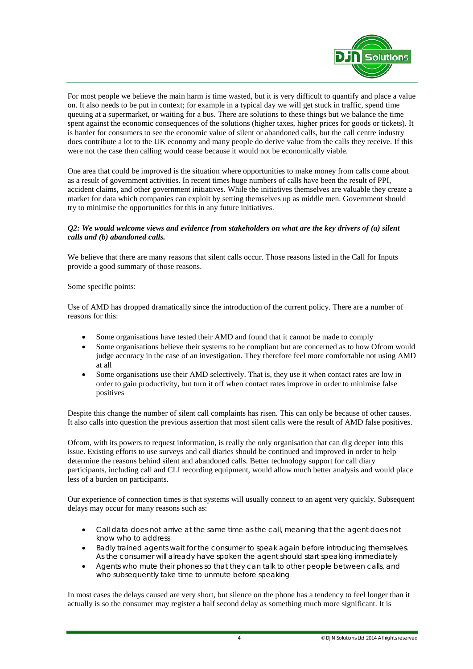

For most people we believe the main harm is time wasted, but it is very difficult to quantify and place a value on. It also needs to be put in context; for example in a typical day we will get stuck in traffic, spend time queuing at a supermarket, or waiting for a bus. There are solutions to these things but we balance the time spent against the economic consequences of the solutions (higher taxes, higher prices for goods or tickets). It is harder for consumers to see the economic value of silent or abandoned calls, but the call centre industry does contribute a lot to the UK economy and many people do derive value from the calls they receive. If this were not the case then calling would cease because it would not be economically viable.

One area that could be improved is the situation where opportunities to make money from calls come about as a result of government activities. In recent times huge numbers of calls have been the result of PPI, accident claims, and other government initiatives. While the initiatives themselves are valuable they create a market for data which companies can exploit by setting themselves up as middle men. Government should try to minimise the opportunities for this in any future initiatives.

## *Q2: We would welcome views and evidence from stakeholders on what are the key drivers of (a) silent calls and (b) abandoned calls.*

We believe that there are many reasons that silent calls occur. Those reasons listed in the Call for Inputs provide a good summary of those reasons.

Some specific points:

Use of AMD has dropped dramatically since the introduction of the current policy. There are a number of reasons for this:

- Some organisations have tested their AMD and found that it cannot be made to comply
- Some organisations believe their systems to be compliant but are concerned as to how Ofcom would judge accuracy in the case of an investigation. They therefore feel more comfortable not using AMD at all
- Some organisations use their AMD selectively. That is, they use it when contact rates are low in order to gain productivity, but turn it off when contact rates improve in order to minimise false positives

Despite this change the number of silent call complaints has risen. This can only be because of other causes. It also calls into question the previous assertion that most silent calls were the result of AMD false positives.

Ofcom, with its powers to request information, is really the only organisation that can dig deeper into this issue. Existing efforts to use surveys and call diaries should be continued and improved in order to help determine the reasons behind silent and abandoned calls. Better technology support for call diary participants, including call and CLI recording equipment, would allow much better analysis and would place less of a burden on participants.

Our experience of connection times is that systems will usually connect to an agent very quickly. Subsequent delays may occur for many reasons such as:

- Call data does not arrive at the same time as the call, meaning that the agent does not know who to address
- Badly trained agents wait for the consumer to speak again before introducing themselves. As the consumer will already have spoken the agent should start speaking immediately
- Agents who mute their phones so that they can talk to other people between calls, and who subsequently take time to unmute before speaking

In most cases the delays caused are very short, but silence on the phone has a tendency to feel longer than it actually is so the consumer may register a half second delay as something much more significant. It is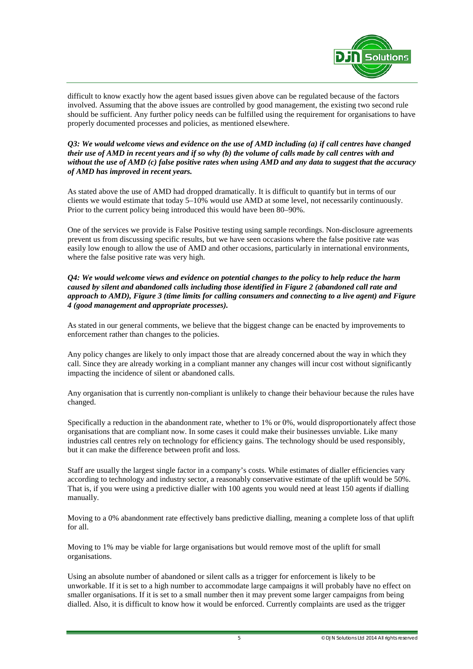

difficult to know exactly how the agent based issues given above can be regulated because of the factors involved. Assuming that the above issues are controlled by good management, the existing two second rule should be sufficient. Any further policy needs can be fulfilled using the requirement for organisations to have properly documented processes and policies, as mentioned elsewhere.

*Q3: We would welcome views and evidence on the use of AMD including (a) if call centres have changed their use of AMD in recent years and if so why (b) the volume of calls made by call centres with and without the use of AMD (c) false positive rates when using AMD and any data to suggest that the accuracy of AMD has improved in recent years.*

As stated above the use of AMD had dropped dramatically. It is difficult to quantify but in terms of our clients we would estimate that today 5–10% would use AMD at some level, not necessarily continuously. Prior to the current policy being introduced this would have been 80–90%.

One of the services we provide is False Positive testing using sample recordings. Non-disclosure agreements prevent us from discussing specific results, but we have seen occasions where the false positive rate was easily low enough to allow the use of AMD and other occasions, particularly in international environments, where the false positive rate was very high.

*Q4: We would welcome views and evidence on potential changes to the policy to help reduce the harm caused by silent and abandoned calls including those identified in Figure 2 (abandoned call rate and approach to AMD), Figure 3 (time limits for calling consumers and connecting to a live agent) and Figure 4 (good management and appropriate processes).*

As stated in our general comments, we believe that the biggest change can be enacted by improvements to enforcement rather than changes to the policies.

Any policy changes are likely to only impact those that are already concerned about the way in which they call. Since they are already working in a compliant manner any changes will incur cost without significantly impacting the incidence of silent or abandoned calls.

Any organisation that is currently non-compliant is unlikely to change their behaviour because the rules have changed.

Specifically a reduction in the abandonment rate, whether to 1% or 0%, would disproportionately affect those organisations that are compliant now. In some cases it could make their businesses unviable. Like many industries call centres rely on technology for efficiency gains. The technology should be used responsibly, but it can make the difference between profit and loss.

Staff are usually the largest single factor in a company's costs. While estimates of dialler efficiencies vary according to technology and industry sector, a reasonably conservative estimate of the uplift would be 50%. That is, if you were using a predictive dialler with 100 agents you would need at least 150 agents if dialling manually.

Moving to a 0% abandonment rate effectively bans predictive dialling, meaning a complete loss of that uplift for all.

Moving to 1% may be viable for large organisations but would remove most of the uplift for small organisations.

Using an absolute number of abandoned or silent calls as a trigger for enforcement is likely to be unworkable. If it is set to a high number to accommodate large campaigns it will probably have no effect on smaller organisations. If it is set to a small number then it may prevent some larger campaigns from being dialled. Also, it is difficult to know how it would be enforced. Currently complaints are used as the trigger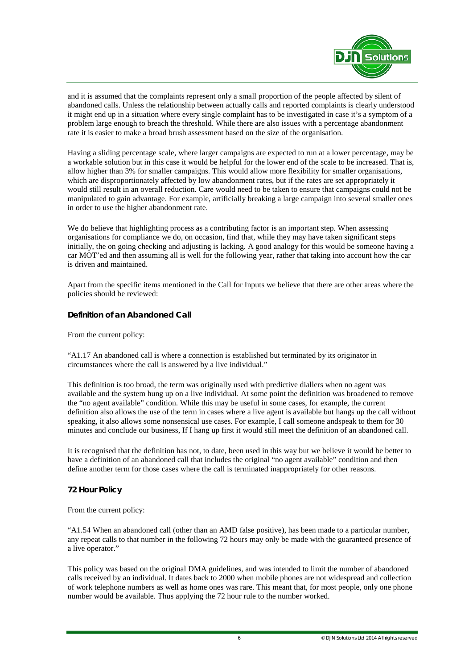

and it is assumed that the complaints represent only a small proportion of the people affected by silent of abandoned calls. Unless the relationship between actually calls and reported complaints is clearly understood it might end up in a situation where every single complaint has to be investigated in case it's a symptom of a problem large enough to breach the threshold. While there are also issues with a percentage abandonment rate it is easier to make a broad brush assessment based on the size of the organisation.

Having a sliding percentage scale, where larger campaigns are expected to run at a lower percentage, may be a workable solution but in this case it would be helpful for the lower end of the scale to be increased. That is, allow higher than 3% for smaller campaigns. This would allow more flexibility for smaller organisations, which are disproportionately affected by low abandonment rates, but if the rates are set appropriately it would still result in an overall reduction. Care would need to be taken to ensure that campaigns could not be manipulated to gain advantage. For example, artificially breaking a large campaign into several smaller ones in order to use the higher abandonment rate.

We do believe that highlighting process as a contributing factor is an important step. When assessing organisations for compliance we do, on occasion, find that, while they may have taken significant steps initially, the on going checking and adjusting is lacking. A good analogy for this would be someone having a car MOT'ed and then assuming all is well for the following year, rather that taking into account how the car is driven and maintained.

Apart from the specific items mentioned in the Call for Inputs we believe that there are other areas where the policies should be reviewed:

## **Definition of an Abandoned Call**

From the current policy:

"A1.17 An abandoned call is where a connection is established but terminated by its originator in circumstances where the call is answered by a live individual."

This definition is too broad, the term was originally used with predictive diallers when no agent was available and the system hung up on a live individual. At some point the definition was broadened to remove the "no agent available" condition. While this may be useful in some cases, for example, the current definition also allows the use of the term in cases where a live agent is available but hangs up the call without speaking, it also allows some nonsensical use cases. For example, I call someone andspeak to them for 30 minutes and conclude our business, If I hang up first it would still meet the definition of an abandoned call.

It is recognised that the definition has not, to date, been used in this way but we believe it would be better to have a definition of an abandoned call that includes the original "no agent available" condition and then define another term for those cases where the call is terminated inappropriately for other reasons.

## **72 Hour Policy**

From the current policy:

"A1.54 When an abandoned call (other than an AMD false positive), has been made to a particular number, any repeat calls to that number in the following 72 hours may only be made with the guaranteed presence of a live operator."

This policy was based on the original DMA guidelines, and was intended to limit the number of abandoned calls received by an individual. It dates back to 2000 when mobile phones are not widespread and collection of work telephone numbers as well as home ones was rare. This meant that, for most people, only one phone number would be available. Thus applying the 72 hour rule to the number worked.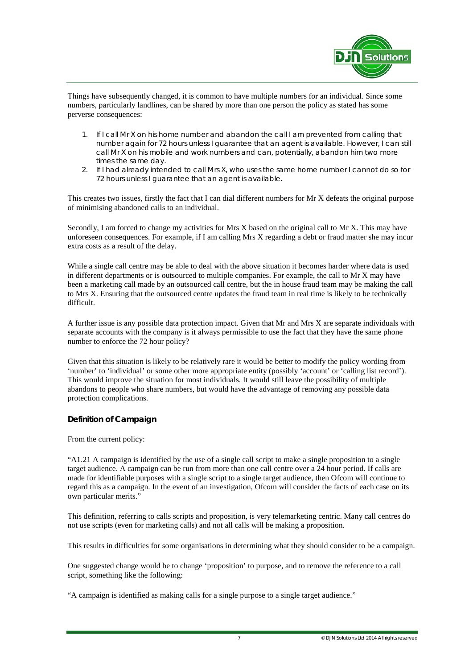

Things have subsequently changed, it is common to have multiple numbers for an individual. Since some numbers, particularly landlines, can be shared by more than one person the policy as stated has some perverse consequences:

- 1. If I call Mr X on his home number and abandon the call I am prevented from calling that number again for 72 hours unless I guarantee that an agent is available. However, I can still call Mr X on his mobile and work numbers and can, potentially, abandon him two more times the same day.
- 2. If I had already intended to call Mrs X, who uses the same home number I cannot do so for 72 hours unless I guarantee that an agent is available.

This creates two issues, firstly the fact that I can dial different numbers for Mr X defeats the original purpose of minimising abandoned calls to an individual.

Secondly, I am forced to change my activities for Mrs X based on the original call to Mr X. This may have unforeseen consequences. For example, if I am calling Mrs X regarding a debt or fraud matter she may incur extra costs as a result of the delay.

While a single call centre may be able to deal with the above situation it becomes harder where data is used in different departments or is outsourced to multiple companies. For example, the call to Mr X may have been a marketing call made by an outsourced call centre, but the in house fraud team may be making the call to Mrs X. Ensuring that the outsourced centre updates the fraud team in real time is likely to be technically difficult.

A further issue is any possible data protection impact. Given that Mr and Mrs X are separate individuals with separate accounts with the company is it always permissible to use the fact that they have the same phone number to enforce the 72 hour policy?

Given that this situation is likely to be relatively rare it would be better to modify the policy wording from 'number' to 'individual' or some other more appropriate entity (possibly 'account' or 'calling list record'). This would improve the situation for most individuals. It would still leave the possibility of multiple abandons to people who share numbers, but would have the advantage of removing any possible data protection complications.

### **Definition of Campaign**

From the current policy:

"A1.21 A campaign is identified by the use of a single call script to make a single proposition to a single target audience. A campaign can be run from more than one call centre over a 24 hour period. If calls are made for identifiable purposes with a single script to a single target audience, then Ofcom will continue to regard this as a campaign. In the event of an investigation, Ofcom will consider the facts of each case on its own particular merits."

This definition, referring to calls scripts and proposition, is very telemarketing centric. Many call centres do not use scripts (even for marketing calls) and not all calls will be making a proposition.

This results in difficulties for some organisations in determining what they should consider to be a campaign.

One suggested change would be to change 'proposition' to purpose, and to remove the reference to a call script, something like the following:

"A campaign is identified as making calls for a single purpose to a single target audience."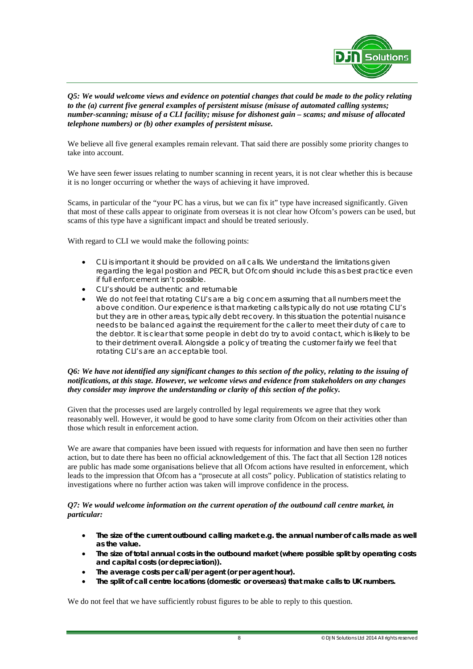

*Q5: We would welcome views and evidence on potential changes that could be made to the policy relating to the (a) current five general examples of persistent misuse (misuse of automated calling systems; number-scanning; misuse of a CLI facility; misuse for dishonest gain – scams; and misuse of allocated telephone numbers) or (b) other examples of persistent misuse.*

We believe all five general examples remain relevant. That said there are possibly some priority changes to take into account.

We have seen fewer issues relating to number scanning in recent years, it is not clear whether this is because it is no longer occurring or whether the ways of achieving it have improved.

Scams, in particular of the "your PC has a virus, but we can fix it" type have increased significantly. Given that most of these calls appear to originate from overseas it is not clear how Ofcom's powers can be used, but scams of this type have a significant impact and should be treated seriously.

With regard to CLI we would make the following points:

- CLI is important it should be provided on all calls. We understand the limitations given regarding the legal position and PECR, but Ofcom should include this as best practice even if full enforcement isn't possible.
- CLI's should be authentic and returnable
- We do not feel that rotating CLI's are a big concern assuming that all numbers meet the above condition. Our experience is that marketing calls typically do not use rotating CLI's but they are in other areas, typically debt recovery. In this situation the potential nuisance needs to be balanced against the requirement for the caller to meet their duty of care to the debtor. It is clear that some people in debt do try to avoid contact, which is likely to be to their detriment overall. Alongside a policy of treating the customer fairly we feel that rotating CLI's are an acceptable tool.

### *Q6: We have not identified any significant changes to this section of the policy, relating to the issuing of notifications, at this stage. However, we welcome views and evidence from stakeholders on any changes they consider may improve the understanding or clarity of this section of the policy.*

Given that the processes used are largely controlled by legal requirements we agree that they work reasonably well. However, it would be good to have some clarity from Ofcom on their activities other than those which result in enforcement action.

We are aware that companies have been issued with requests for information and have then seen no further action, but to date there has been no official acknowledgement of this. The fact that all Section 128 notices are public has made some organisations believe that all Ofcom actions have resulted in enforcement, which leads to the impression that Ofcom has a "prosecute at all costs" policy. Publication of statistics relating to investigations where no further action was taken will improve confidence in the process.

### *Q7: We would welcome information on the current operation of the outbound call centre market, in particular:*

- The size of the current outbound calling market e.g. the annual number of calls made as well *as the value.*
- *The size of total annual costs in the outbound market (where possible split by operating costs and capital costs (or depreciation)).*
- *The average costs per call/per agent (or per agent hour).*
- *The split of call centre locations (domestic or overseas) that make calls to UK numbers.*

We do not feel that we have sufficiently robust figures to be able to reply to this question.